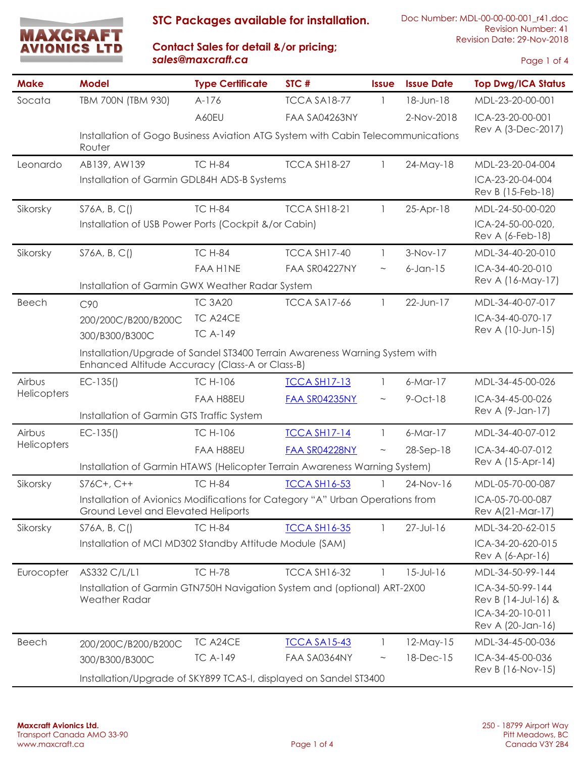

**Contact Sales for detail &/or pricing;** *sales@maxcraft.ca*

Page 1 of 4

| <b>Make</b> | <b>Model</b>                                                                                                                   | <b>Type Certificate</b>                 | STC#                | <b>Issue</b> | <b>Issue Date</b> | <b>Top Dwg/ICA Status</b> |  |
|-------------|--------------------------------------------------------------------------------------------------------------------------------|-----------------------------------------|---------------------|--------------|-------------------|---------------------------|--|
| Socata      | TBM 700N (TBM 930)                                                                                                             | A-176                                   | <b>TCCA SA18-77</b> | $\mathbf{1}$ | 18-Jun-18         | MDL-23-20-00-001          |  |
|             |                                                                                                                                | A60EU                                   | FAA SA04263NY       |              | 2-Nov-2018        | ICA-23-20-00-001          |  |
|             | Installation of Gogo Business Aviation ATG System with Cabin Telecommunications<br>Router                                      | Rev A (3-Dec-2017)                      |                     |              |                   |                           |  |
| Leonardo    | AB139, AW139                                                                                                                   | <b>TC H-84</b>                          | TCCA SH18-27        | 1            | 24-May-18         | MDL-23-20-04-004          |  |
|             | Installation of Garmin GDL84H ADS-B Systems                                                                                    | ICA-23-20-04-004<br>Rev B (15-Feb-18)   |                     |              |                   |                           |  |
| Sikorsky    | S76A, B, C()                                                                                                                   | <b>TC H-84</b>                          | <b>TCCA SH18-21</b> |              | 25-Apr-18         | MDL-24-50-00-020          |  |
|             | Installation of USB Power Ports (Cockpit &/or Cabin)                                                                           | ICA-24-50-00-020,<br>Rev A (6-Feb-18)   |                     |              |                   |                           |  |
| Sikorsky    | S76A, B, C()                                                                                                                   | <b>TC H-84</b>                          | TCCA SH17-40        | $\mathbf{1}$ | $3-Nov-17$        | MDL-34-40-20-010          |  |
|             |                                                                                                                                | <b>FAA HINE</b>                         | FAA SR04227NY       | $\sim$       | $6$ -Jan-15       | ICA-34-40-20-010          |  |
|             | Installation of Garmin GWX Weather Radar System                                                                                |                                         |                     |              |                   | Rev A (16-May-17)         |  |
| Beech       | C90                                                                                                                            | <b>TC 3A20</b>                          | TCCA SA17-66        | -1           | 22-Jun-17         | MDL-34-40-07-017          |  |
|             | 200/200C/B200/B200C                                                                                                            | TC A24CE                                |                     |              |                   | ICA-34-40-070-17          |  |
|             | 300/B300/B300C                                                                                                                 | <b>TC A-149</b>                         |                     |              |                   | Rev A (10-Jun-15)         |  |
|             | Installation/Upgrade of Sandel ST3400 Terrain Awareness Warning System with<br>Enhanced Altitude Accuracy (Class-A or Class-B) |                                         |                     |              |                   |                           |  |
| Airbus      | $EC-135()$                                                                                                                     | <b>TC H-106</b>                         | <b>ICCA SH17-13</b> | $\mathbf{1}$ | $6-Mar-17$        | MDL-34-45-00-026          |  |
| Helicopters |                                                                                                                                | FAA H88EU                               | FAA SR04235NY       | $\thicksim$  | $9$ -Oct-18       | ICA-34-45-00-026          |  |
|             | Installation of Garmin GTS Traffic System                                                                                      | Rev A (9-Jan-17)                        |                     |              |                   |                           |  |
| Airbus      | $EC-135()$                                                                                                                     | <b>TC H-106</b>                         | <b>ICCA SH17-14</b> | -1           | $6-Mar-17$        | MDL-34-40-07-012          |  |
| Helicopters |                                                                                                                                | FAA H88EU                               | FAA SR04228NY       | $\sim$       | 28-Sep-18         | ICA-34-40-07-012          |  |
|             | Installation of Garmin HTAWS (Helicopter Terrain Awareness Warning System)                                                     | Rev A (15-Apr-14)                       |                     |              |                   |                           |  |
| Sikorsky    | $S76C+$ , $C++$                                                                                                                | <b>TC H-84</b>                          | <b>ICCA SH16-53</b> |              | 24-Nov-16         | MDL-05-70-00-087          |  |
|             | Installation of Avionics Modifications for Category "A" Urban Operations from<br>Ground Level and Elevated Heliports           | ICA-05-70-00-087<br>Rev A(21-Mar-17)    |                     |              |                   |                           |  |
| Sikorsky    | S76A, B, C()                                                                                                                   | <b>TC H-84</b>                          | <b>TCCA SH16-35</b> | 1            | $27 - Jul - 16$   | MDL-34-20-62-015          |  |
|             | Installation of MCI MD302 Standby Attitude Module (SAM)                                                                        | ICA-34-20-620-015<br>Rev A (6-Apr-16)   |                     |              |                   |                           |  |
| Eurocopter  | AS332 C/L/L1                                                                                                                   | <b>TC H-78</b>                          | <b>TCCA SH16-32</b> |              | $15 - Jul - 16$   | MDL-34-50-99-144          |  |
|             | Installation of Garmin GTN750H Navigation System and (optional) ART-2X00<br><b>Weather Radar</b>                               | ICA-34-50-99-144                        |                     |              |                   |                           |  |
|             |                                                                                                                                | Rev B (14-Jul-16) &<br>ICA-34-20-10-011 |                     |              |                   |                           |  |
|             |                                                                                                                                |                                         |                     |              |                   | Rev A (20-Jan-16)         |  |
| Beech       | 200/200C/B200/B200C                                                                                                            | TC A24CE                                | <b>ICCA SA15-43</b> | -1           | $12$ -May- $15$   | MDL-34-45-00-036          |  |
|             | 300/B300/B300C                                                                                                                 | <b>TC A-149</b>                         | FAA SA0364NY        | $\sim$       | 18-Dec-15         | ICA-34-45-00-036          |  |
|             | Installation/Upgrade of SKY899 TCAS-I, displayed on Sandel ST3400                                                              | Rev B (16-Nov-15)                       |                     |              |                   |                           |  |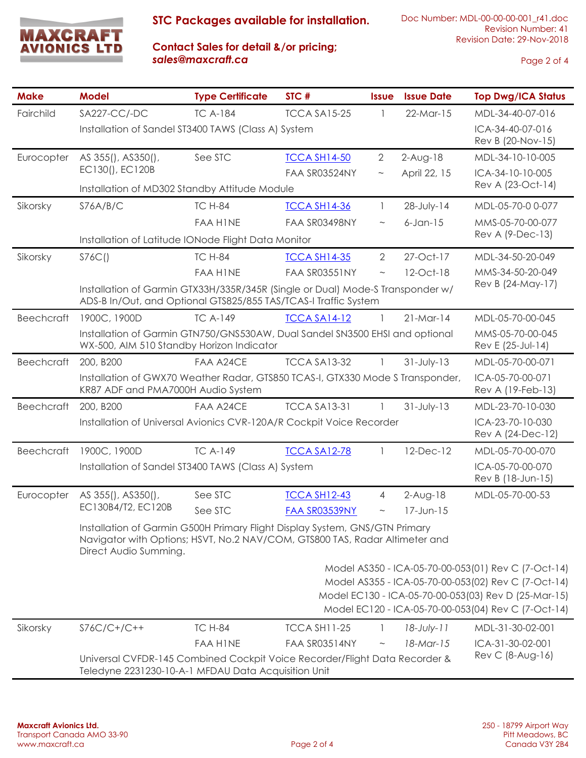

#### **Contact Sales for detail &/or pricing;** *sales@maxcraft.ca*

Page 2 of 4

| <b>Make</b>       | <b>Model</b>                                                                                                                                                                        | <b>Type Certificate</b>                                                                                     | STC#                | <b>Issue</b>              | <b>Issue Date</b> | <b>Top Dwg/ICA Status</b>                           |  |
|-------------------|-------------------------------------------------------------------------------------------------------------------------------------------------------------------------------------|-------------------------------------------------------------------------------------------------------------|---------------------|---------------------------|-------------------|-----------------------------------------------------|--|
| Fairchild         | SA227-CC/-DC                                                                                                                                                                        | <b>TC A-184</b>                                                                                             | <b>TCCA SA15-25</b> | 1                         | $22$ -Mar-15      | MDL-34-40-07-016                                    |  |
|                   | Installation of Sandel ST3400 TAWS (Class A) System                                                                                                                                 | ICA-34-40-07-016<br>Rev B (20-Nov-15)                                                                       |                     |                           |                   |                                                     |  |
| Eurocopter        | AS 355(), AS350(),                                                                                                                                                                  | See STC                                                                                                     | <b>TCCA SH14-50</b> | $\overline{2}$            | $2-Aug-18$        | MDL-34-10-10-005                                    |  |
|                   | EC130(), EC120B                                                                                                                                                                     |                                                                                                             | FAA SR03524NY       | $\sim$                    | April 22, 15      | ICA-34-10-10-005<br>Rev A (23-Oct-14)               |  |
|                   |                                                                                                                                                                                     | Installation of MD302 Standby Attitude Module                                                               |                     |                           |                   |                                                     |  |
| Sikorsky          | S76A/B/C                                                                                                                                                                            | <b>TC H-84</b>                                                                                              | <b>TCCA SH14-36</b> | $\perp$                   | $28 - July - 14$  | MDL-05-70-0 0-077                                   |  |
|                   |                                                                                                                                                                                     | <b>FAA HINE</b>                                                                                             | FAA SR03498NY       | $\widetilde{\phantom{m}}$ | $6$ -Jan-15       | MMS-05-70-00-077                                    |  |
|                   | Installation of Latitude IONode Flight Data Monitor                                                                                                                                 | Rev A (9-Dec-13)                                                                                            |                     |                           |                   |                                                     |  |
| Sikorsky          | S76C()                                                                                                                                                                              | <b>TC H-84</b>                                                                                              | <b>TCCA SH14-35</b> | $\mathbf{2}$              | 27-Oct-17         | MDL-34-50-20-049                                    |  |
|                   |                                                                                                                                                                                     | <b>FAA HINE</b>                                                                                             | FAA SR03551NY       | $\sim$                    | 12-Oct-18         | MMS-34-50-20-049                                    |  |
|                   | Installation of Garmin GTX33H/335R/345R (Single or Dual) Mode-S Transponder w/<br>ADS-B In/Out, and Optional GTS825/855 TAS/TCAS-I Traffic System                                   | Rev B (24-May-17)                                                                                           |                     |                           |                   |                                                     |  |
| <b>Beechcraft</b> | 1900C, 1900D                                                                                                                                                                        | <b>TC A-149</b>                                                                                             | <b>TCCA SA14-12</b> |                           | $21-Mar-14$       | MDL-05-70-00-045                                    |  |
|                   | Installation of Garmin GTN750/GNS530AW, Dual Sandel SN3500 EHSI and optional<br>WX-500, AIM 510 Standby Horizon Indicator                                                           | MMS-05-70-00-045<br>Rev E (25-Jul-14)                                                                       |                     |                           |                   |                                                     |  |
| <b>Beechcraft</b> | 200, B200                                                                                                                                                                           | FAA A24CE                                                                                                   | <b>TCCA SA13-32</b> |                           | $31$ -July-13     | MDL-05-70-00-071                                    |  |
|                   | Installation of GWX70 Weather Radar, GTS850 TCAS-I, GTX330 Mode S Transponder,<br>KR87 ADF and PMA7000H Audio System                                                                | ICA-05-70-00-071<br>Rev A (19-Feb-13)                                                                       |                     |                           |                   |                                                     |  |
| <b>Beechcraft</b> | 200, B200                                                                                                                                                                           | <b>FAA A24CE</b>                                                                                            | <b>TCCA SA13-31</b> |                           | $31$ -July-13     | MDL-23-70-10-030                                    |  |
|                   | Installation of Universal Avionics CVR-120A/R Cockpit Voice Recorder                                                                                                                | ICA-23-70-10-030<br>Rev A (24-Dec-12)                                                                       |                     |                           |                   |                                                     |  |
| <b>Beechcraft</b> | 1900C, 1900D                                                                                                                                                                        | <b>TC A-149</b>                                                                                             | <b>TCCA SA12-78</b> | 1                         | 12-Dec-12         | MDL-05-70-00-070                                    |  |
|                   | Installation of Sandel ST3400 TAWS (Class A) System                                                                                                                                 | ICA-05-70-00-070<br>Rev B (18-Jun-15)                                                                       |                     |                           |                   |                                                     |  |
| Eurocopter        | AS 355(), AS350(),                                                                                                                                                                  | See STC                                                                                                     | <b>TCCA SH12-43</b> | 4                         | $2-Aug-18$        | MDL-05-70-00-53                                     |  |
|                   | EC130B4/T2, EC120B                                                                                                                                                                  | See STC                                                                                                     | FAA SR03539NY       |                           | $17 - Jun - 15$   |                                                     |  |
|                   | Installation of Garmin G500H Primary Flight Display System, GNS/GTN Primary<br>Navigator with Options; HSVT, No.2 NAV/COM, GTS800 TAS, Radar Altimeter and<br>Direct Audio Summing. |                                                                                                             |                     |                           |                   |                                                     |  |
|                   |                                                                                                                                                                                     |                                                                                                             |                     |                           |                   | Model AS350 - ICA-05-70-00-053(01) Rev C (7-Oct-14) |  |
|                   | Model AS355 - ICA-05-70-00-053(02) Rev C (7-Oct-14)                                                                                                                                 |                                                                                                             |                     |                           |                   |                                                     |  |
|                   |                                                                                                                                                                                     | Model EC130 - ICA-05-70-00-053(03) Rev D (25-Mar-15)<br>Model EC120 - ICA-05-70-00-053(04) Rev C (7-Oct-14) |                     |                           |                   |                                                     |  |
| Sikorsky          | $S76C/C+ / C++$                                                                                                                                                                     | <b>TC H-84</b>                                                                                              | TCCA SH11-25        |                           | 18-July-11        | MDL-31-30-02-001                                    |  |
|                   |                                                                                                                                                                                     | <b>FAA HINE</b>                                                                                             | FAA SR03514NY       | $\thicksim$               | 18-Mar-15         | ICA-31-30-02-001                                    |  |
|                   | Rev C (8-Aug-16)<br>Universal CVFDR-145 Combined Cockpit Voice Recorder/Flight Data Recorder &<br>Teledyne 2231230-10-A-1 MFDAU Data Acquisition Unit                               |                                                                                                             |                     |                           |                   |                                                     |  |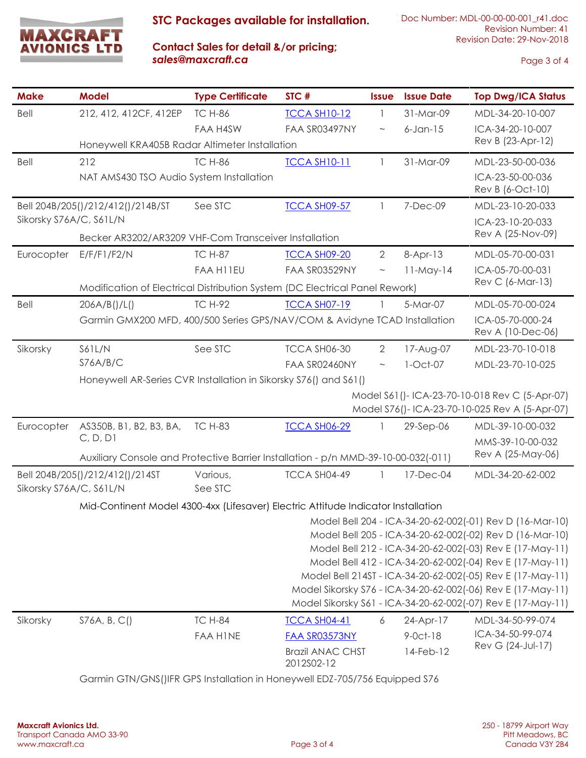

#### **Contact Sales for detail &/or pricing;** *sales@maxcraft.ca*

Page 3 of 4

| <b>Make</b>                       | <b>Model</b>                                                                                    | <b>Type Certificate</b> | STC#                                  | <b>Issue</b>   | <b>Issue Date</b>  | <b>Top Dwg/ICA Status</b>                                                                                                  |  |
|-----------------------------------|-------------------------------------------------------------------------------------------------|-------------------------|---------------------------------------|----------------|--------------------|----------------------------------------------------------------------------------------------------------------------------|--|
| Bell                              | 212, 412, 412CF, 412EP                                                                          | <b>TC H-86</b>          | <b>ICCA SH10-12</b>                   | 1              | 31-Mar-09          | MDL-34-20-10-007                                                                                                           |  |
|                                   |                                                                                                 | <b>FAA H4SW</b>         | FAA SR03497NY                         | $\sim$         | $6$ -Jan-15        | ICA-34-20-10-007                                                                                                           |  |
|                                   | Rev B (23-Apr-12)<br>Honeywell KRA405B Radar Altimeter Installation                             |                         |                                       |                |                    |                                                                                                                            |  |
| Bell                              | 212                                                                                             | <b>TC H-86</b>          | <b>ICCA SH10-11</b>                   | $\mathbf{1}$   | 31-Mar-09          | MDL-23-50-00-036                                                                                                           |  |
|                                   | NAT AMS430 TSO Audio System Installation                                                        |                         |                                       |                |                    | ICA-23-50-00-036<br>Rev B (6-Oct-10)                                                                                       |  |
| Bell 204B/205()/212/412()/214B/ST |                                                                                                 | See STC                 | <b>TCCA SH09-57</b>                   | 1              | 7-Dec-09           | MDL-23-10-20-033                                                                                                           |  |
| Sikorsky S76A/C, S61L/N           |                                                                                                 |                         |                                       |                |                    | ICA-23-10-20-033                                                                                                           |  |
|                                   | Becker AR3202/AR3209 VHF-Com Transceiver Installation                                           |                         |                                       |                |                    | Rev A (25-Nov-09)                                                                                                          |  |
| Eurocopter                        | E/F/F1/F2/N                                                                                     | <b>TC H-87</b>          | <b>TCCA SH09-20</b>                   | $\overline{2}$ | 8-Apr-13           | MDL-05-70-00-031                                                                                                           |  |
|                                   |                                                                                                 | <b>FAA H11EU</b>        | FAA SR03529NY                         | $\thicksim$    | $11$ -May-14       | ICA-05-70-00-031                                                                                                           |  |
|                                   | Rev C (6-Mar-13)<br>Modification of Electrical Distribution System (DC Electrical Panel Rework) |                         |                                       |                |                    |                                                                                                                            |  |
| Bell                              | $206A/B$ ()/L()                                                                                 | <b>TC H-92</b>          | <b>ICCA SH07-19</b>                   |                | 5-Mar-07           | MDL-05-70-00-024                                                                                                           |  |
|                                   | Garmin GMX200 MFD, 400/500 Series GPS/NAV/COM & Avidyne TCAD Installation                       |                         |                                       |                |                    | ICA-05-70-000-24<br>Rev A (10-Dec-06)                                                                                      |  |
| Sikorsky                          | <b>S61L/N</b>                                                                                   | See STC                 | TCCA SH06-30                          | $\overline{2}$ | 17-Aug-07          | MDL-23-70-10-018                                                                                                           |  |
|                                   | S76A/B/C                                                                                        |                         | FAA SR02460NY                         | $\sim$         | $1-Oct-07$         | MDL-23-70-10-025                                                                                                           |  |
|                                   | Honeywell AR-Series CVR Installation in Sikorsky S76() and S61()                                |                         |                                       |                |                    |                                                                                                                            |  |
|                                   |                                                                                                 |                         |                                       |                |                    | Model S61()-ICA-23-70-10-018 Rev C (5-Apr-07)<br>Model S76()-ICA-23-70-10-025 Rev A (5-Apr-07)                             |  |
| Eurocopter                        | AS350B, B1, B2, B3, BA,                                                                         | <b>TC H-83</b>          | <b>ICCA SH06-29</b>                   | 1              | 29-Sep-06          | MDL-39-10-00-032                                                                                                           |  |
|                                   | C, D, D1                                                                                        |                         |                                       |                |                    | MMS-39-10-00-032                                                                                                           |  |
|                                   | Auxiliary Console and Protective Barrier Installation - p/n MMD-39-10-00-032(-011)              |                         |                                       |                |                    | Rev A (25-May-06)                                                                                                          |  |
|                                   | Bell 204B/205()/212/412()/214ST                                                                 | Various,                | TCCA SH04-49                          |                | 17-Dec-04          | MDL-34-20-62-002                                                                                                           |  |
| Sikorsky S76A/C, S61L/N           |                                                                                                 | See STC                 |                                       |                |                    |                                                                                                                            |  |
|                                   | Mid-Continent Model 4300-4xx (Lifesaver) Electric Attitude Indicator Installation               |                         |                                       |                |                    |                                                                                                                            |  |
|                                   | Model Bell 204 - ICA-34-20-62-002(-01) Rev D (16-Mar-10)                                        |                         |                                       |                |                    |                                                                                                                            |  |
|                                   | Model Bell 205 - ICA-34-20-62-002(-02) Rev D (16-Mar-10)                                        |                         |                                       |                |                    |                                                                                                                            |  |
|                                   |                                                                                                 |                         |                                       |                |                    | Model Bell 212 - ICA-34-20-62-002(-03) Rev E (17-May-11)                                                                   |  |
|                                   |                                                                                                 |                         |                                       |                |                    | Model Bell 412 - ICA-34-20-62-002(-04) Rev E (17-May-11)                                                                   |  |
|                                   |                                                                                                 |                         |                                       |                |                    | Model Bell 214ST - ICA-34-20-62-002(-05) Rev E (17-May-11)<br>Model Sikorsky S76 - ICA-34-20-62-002(-06) Rev E (17-May-11) |  |
|                                   |                                                                                                 |                         |                                       |                |                    | Model Sikorsky S61 - ICA-34-20-62-002(-07) Rev E (17-May-11)                                                               |  |
| Sikorsky                          | S76A, B, C()                                                                                    | <b>TC H-84</b>          | <b>TCCA SH04-41</b>                   | 6              | 24-Apr-17          | MDL-34-50-99-074                                                                                                           |  |
|                                   |                                                                                                 | <b>FAA HINE</b>         | <b>FAA SR03573NY</b>                  |                | $9 - 0$ c $t - 18$ | ICA-34-50-99-074                                                                                                           |  |
|                                   |                                                                                                 |                         | <b>Brazil ANAC CHST</b><br>2012S02-12 |                | 14-Feb-12          | Rev G (24-Jul-17)                                                                                                          |  |
|                                   | Garmin GINICNSULER GPS Installation in Honovwell ED7-705/756 Faurinned S76                      |                         |                                       |                |                    |                                                                                                                            |  |

Garmin GTN/GNS()IFR GPS Installation in Honeywell EDZ-705/756 Equipped S76